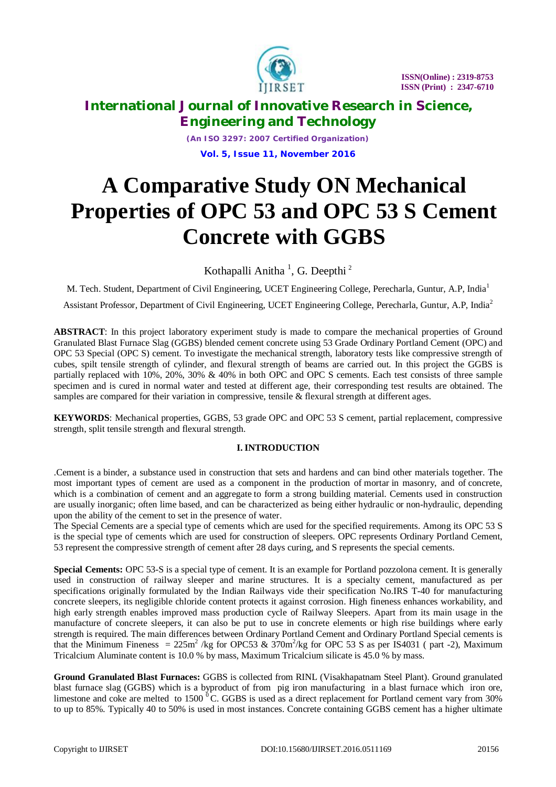

*(An ISO 3297: 2007 Certified Organization)* **Vol. 5, Issue 11, November 2016**

# **A Comparative Study ON Mechanical Properties of OPC 53 and OPC 53 S Cement Concrete with GGBS**

Kothapalli Anitha<sup>1</sup>, G. Deepthi<sup>2</sup>

M. Tech. Student, Department of Civil Engineering, UCET Engineering College, Perecharla, Guntur, A.P, India<sup>1</sup>

Assistant Professor, Department of Civil Engineering, UCET Engineering College, Perecharla, Guntur, A.P, India<sup>2</sup>

**ABSTRACT**: In this project laboratory experiment study is made to compare the mechanical properties of Ground Granulated Blast Furnace Slag (GGBS) blended cement concrete using 53 Grade Ordinary Portland Cement (OPC) and OPC 53 Special (OPC S) cement. To investigate the mechanical strength, laboratory tests like compressive strength of cubes, spilt tensile strength of cylinder, and flexural strength of beams are carried out. In this project the GGBS is partially replaced with 10%, 20%, 30% & 40% in both OPC and OPC S cements. Each test consists of three sample specimen and is cured in normal water and tested at different age, their corresponding test results are obtained. The samples are compared for their variation in compressive, tensile  $\&$  flexural strength at different ages.

**KEYWORDS**: Mechanical properties, GGBS, 53 grade OPC and OPC 53 S cement, partial replacement, compressive strength, split tensile strength and flexural strength.

## **I. INTRODUCTION**

.Cement is a binder, a substance used in construction that sets and hardens and can bind other materials together. The most important types of cement are used as a component in the production of mortar in masonry, and of concrete, which is a combination of cement and an aggregate to form a strong building material. Cements used in construction are usually inorganic; often lime based, and can be characterized as being either hydraulic or non-hydraulic, depending upon the ability of the cement to set in the presence of water.

The Special Cements are a special type of cements which are used for the specified requirements. Among its OPC 53 S is the special type of cements which are used for construction of sleepers. OPC represents Ordinary Portland Cement, 53 represent the compressive strength of cement after 28 days curing, and S represents the special cements.

**Special Cements:** OPC 53-S is a special type of cement. It is an example for Portland pozzolona cement. It is generally used in construction of railway sleeper and marine structures. It is a specialty cement, manufactured as per specifications originally formulated by the Indian Railways vide their specification No.IRS T-40 for manufacturing concrete sleepers, its negligible chloride content protects it against corrosion. High fineness enhances workability, and high early strength enables improved mass production cycle of Railway Sleepers. Apart from its main usage in the manufacture of concrete sleepers, it can also be put to use in concrete elements or high rise buildings where early strength is required. The main differences between Ordinary Portland Cement and Ordinary Portland Special cements is that the Minimum Fineness =  $225 \text{m}^2$  /kg for OPC53 &  $370 \text{m}^2$ /kg for OPC 53 S as per IS4031 (part -2), Maximum Tricalcium Aluminate content is 10.0 % by mass, Maximum Tricalcium silicate is 45.0 % by mass.

**Ground Granulated Blast Furnaces:** GGBS is collected from RINL (Visakhapatnam Steel Plant). Ground granulated blast furnace slag (GGBS) which is a byproduct of from pig iron manufacturing in a blast furnace which iron ore, limestone and coke are melted to 1500 $^{0}$ C. GGBS is used as a direct replacement for Portland cement vary from 30% to up to 85%. Typically 40 to 50% is used in most instances. Concrete containing GGBS cement has a higher ultimate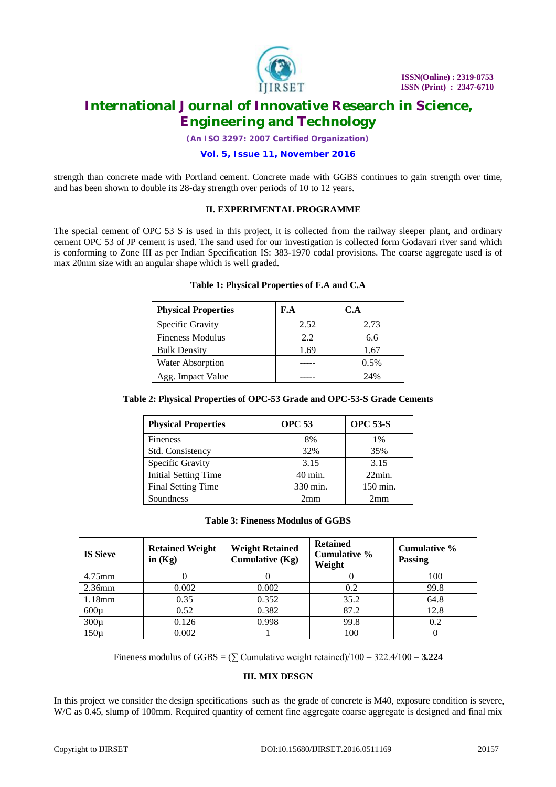

*(An ISO 3297: 2007 Certified Organization)*

#### **Vol. 5, Issue 11, November 2016**

strength than concrete made with Portland cement. Concrete made with GGBS continues to gain strength over time, and has been shown to double its 28-day strength over periods of 10 to 12 years.

#### **II. EXPERIMENTAL PROGRAMME**

The special cement of OPC 53 S is used in this project, it is collected from the railway sleeper plant, and ordinary cement OPC 53 of JP cement is used. The sand used for our investigation is collected form Godavari river sand which is conforming to Zone III as per Indian Specification IS: 383-1970 codal provisions. The coarse aggregate used is of max 20mm size with an angular shape which is well graded.

| <b>Physical Properties</b> | F.A  | C.A  |
|----------------------------|------|------|
| Specific Gravity           | 2.52 | 2.73 |
| <b>Fineness Modulus</b>    | 2.2  | 6.6  |
| <b>Bulk Density</b>        | 1.69 | 1.67 |
| Water Absorption           |      | 0.5% |
| Agg. Impact Value          |      | 24%  |

#### **Table 1: Physical Properties of F.A and C.A**

### **Table 2: Physical Properties of OPC-53 Grade and OPC-53-S Grade Cements**

| <b>Physical Properties</b>  | <b>OPC 53</b> | <b>OPC 53-S</b> |
|-----------------------------|---------------|-----------------|
| <b>Fineness</b>             | 8%            | $1\%$           |
| Std. Consistency            | 32%           | 35%             |
| Specific Gravity            | 3.15          | 3.15            |
| <b>Initial Setting Time</b> | 40 min.       | $22$ min.       |
| <b>Final Setting Time</b>   | 330 min.      | 150 min.        |
| Soundness                   | 2mm           | 2mm             |

#### **Table 3: Fineness Modulus of GGBS**

| <b>IS Sieve</b> | <b>Retained Weight</b><br>in $(Kg)$ | <b>Weight Retained</b><br>Cumulative $(Kg)$ | <b>Retained</b><br>Cumulative %<br>Weight | Cumulative %<br>Passing |
|-----------------|-------------------------------------|---------------------------------------------|-------------------------------------------|-------------------------|
| $4.75$ mm       |                                     |                                             |                                           | 100                     |
| $2.36$ mm       | 0.002                               | 0.002                                       | 0.2                                       | 99.8                    |
| 1.18mm          | 0.35                                | 0.352                                       | 35.2                                      | 64.8                    |
| $600\mu$        | 0.52                                | 0.382                                       | 87.2                                      | 12.8                    |
| $300\mu$        | 0.126                               | 0.998                                       | 99.8                                      | 0.2                     |
| $150\mu$        | 0.002                               |                                             | 100                                       |                         |

Fineness modulus of GGBS =  $(\sum$  Cumulative weight retained)/100 = 322.4/100 = **3.224** 

#### **III. MIX DESGN**

In this project we consider the design specifications such as the grade of concrete is M40, exposure condition is severe, W/C as 0.45, slump of 100mm. Required quantity of cement fine aggregate coarse aggregate is designed and final mix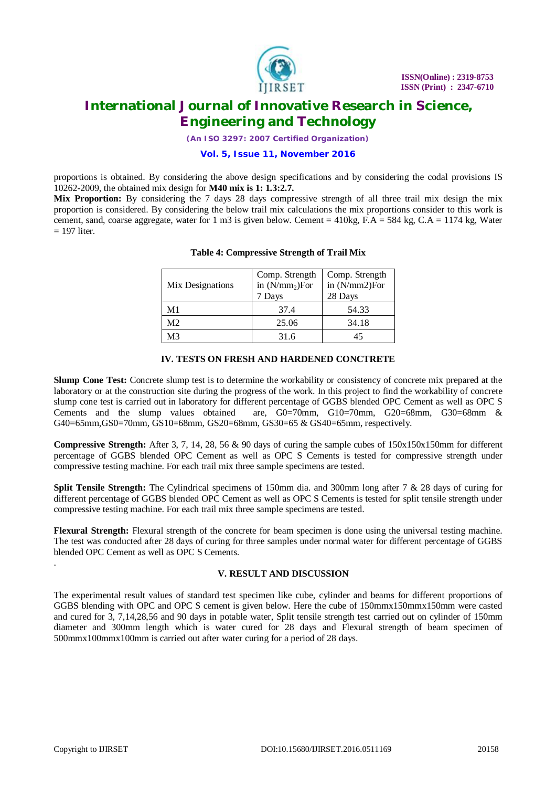

*(An ISO 3297: 2007 Certified Organization)*

#### **Vol. 5, Issue 11, November 2016**

proportions is obtained. By considering the above design specifications and by considering the codal provisions IS 10262-2009, the obtained mix design for **M40 mix is 1: 1.3:2.7.**

**Mix Proportion:** By considering the 7 days 28 days compressive strength of all three trail mix design the mix proportion is considered. By considering the below trail mix calculations the mix proportions consider to this work is cement, sand, coarse aggregate, water for 1 m3 is given below. Cement = 410kg,  $\overline{F.A} = 584$  kg,  $\overline{C.A} = 1174$  kg, Water  $= 197$  liter.

| Mix Designations | Comp. Strength<br>in $(N/mm_2)$ For<br>7 Days | Comp. Strength<br>in (N/mm2)For<br>28 Days |  |
|------------------|-----------------------------------------------|--------------------------------------------|--|
| M1               | 37.4                                          | 54.33                                      |  |
| M <sub>2</sub>   | 25.06                                         | 34.18                                      |  |
| MЗ               | 31.6                                          |                                            |  |

### **Table 4: Compressive Strength of Trail Mix**

### **IV. TESTS ON FRESH AND HARDENED CONCTRETE**

**Slump Cone Test:** Concrete slump test is to determine the workability or consistency of concrete mix prepared at the laboratory or at the construction site during the progress of the work. In this project to find the workability of concrete slump cone test is carried out in laboratory for different percentage of GGBS blended OPC Cement as well as OPC S Cements and the slump values obtained are, G0=70mm, G10=70mm, G20=68mm, G30=68mm & G40=65mm,GS0=70mm, GS10=68mm, GS20=68mm, GS30=65 & GS40=65mm, respectively.

**Compressive Strength:** After 3, 7, 14, 28, 56 & 90 days of curing the sample cubes of 150x150x150mm for different percentage of GGBS blended OPC Cement as well as OPC S Cements is tested for compressive strength under compressive testing machine. For each trail mix three sample specimens are tested.

**Split Tensile Strength:** The Cylindrical specimens of 150mm dia. and 300mm long after 7 & 28 days of curing for different percentage of GGBS blended OPC Cement as well as OPC S Cements is tested for split tensile strength under compressive testing machine. For each trail mix three sample specimens are tested.

**Flexural Strength:** Flexural strength of the concrete for beam specimen is done using the universal testing machine. The test was conducted after 28 days of curing for three samples under normal water for different percentage of GGBS blended OPC Cement as well as OPC S Cements.

### **V. RESULT AND DISCUSSION**

The experimental result values of standard test specimen like cube, cylinder and beams for different proportions of GGBS blending with OPC and OPC S cement is given below. Here the cube of 150mmx150mmx150mm were casted and cured for 3, 7,14,28,56 and 90 days in potable water, Split tensile strength test carried out on cylinder of 150mm diameter and 300mm length which is water cured for 28 days and Flexural strength of beam specimen of 500mmx100mmx100mm is carried out after water curing for a period of 28 days.

.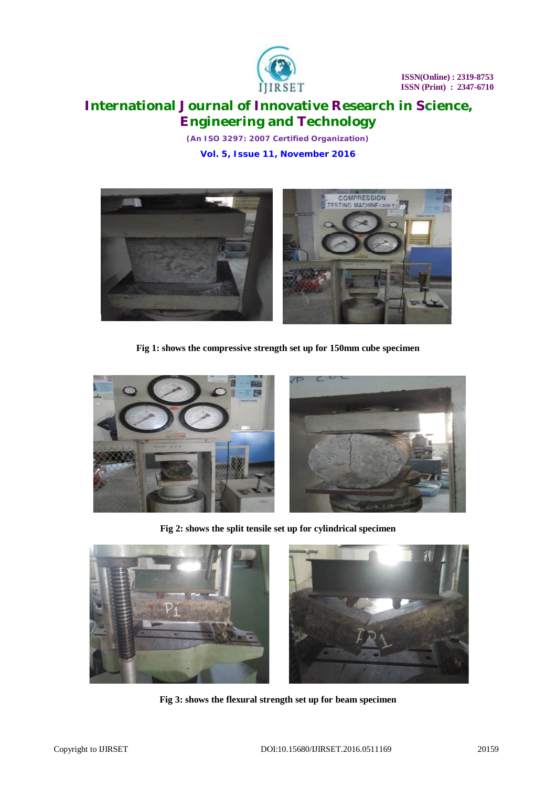

*(An ISO 3297: 2007 Certified Organization)* **Vol. 5, Issue 11, November 2016**



**Fig 1: shows the compressive strength set up for 150mm cube specimen**



**Fig 2: shows the split tensile set up for cylindrical specimen**



**Fig 3: shows the flexural strength set up for beam specimen**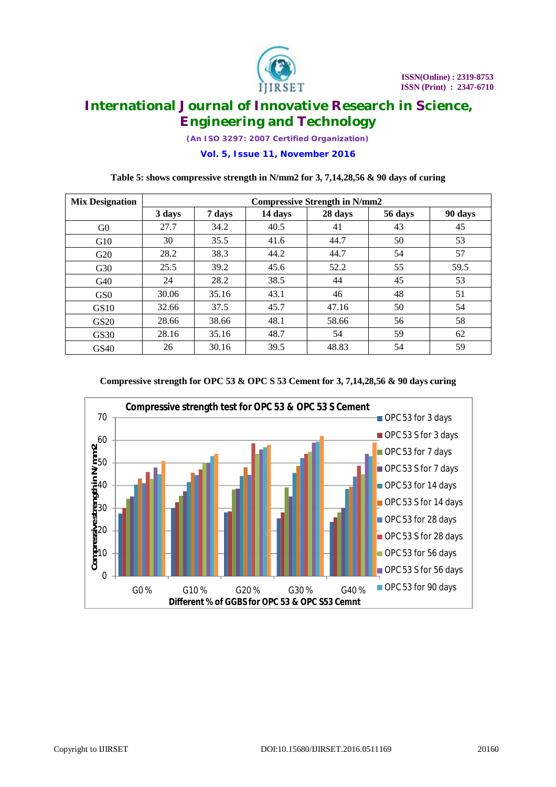

*(An ISO 3297: 2007 Certified Organization)*

**Vol. 5, Issue 11, November 2016**

### **Table 5: shows compressive strength in N/mm2 for 3, 7,14,28,56 & 90 days of curing**

| <b>Mix Designation</b> | <b>Compressive Strength in N/mm2</b> |        |         |         |         |         |
|------------------------|--------------------------------------|--------|---------|---------|---------|---------|
|                        | 3 days                               | 7 days | 14 days | 28 days | 56 days | 90 days |
| G <sub>0</sub>         | 27.7                                 | 34.2   | 40.5    | 41      | 43      | 45      |
| G10                    | 30                                   | 35.5   | 41.6    | 44.7    | 50      | 53      |
| G20                    | 28.2                                 | 38.3   | 44.2    | 44.7    | 54      | 57      |
| G30                    | 25.5                                 | 39.2   | 45.6    | 52.2    | 55      | 59.5    |
| G40                    | 24                                   | 28.2   | 38.5    | 44      | 45      | 53      |
| GS <sub>0</sub>        | 30.06                                | 35.16  | 43.1    | 46      | 48      | 51      |
| GS10                   | 32.66                                | 37.5   | 45.7    | 47.16   | 50      | 54      |
| GS <sub>20</sub>       | 28.66                                | 38.66  | 48.1    | 58.66   | 56      | 58      |
| GS30                   | 28.16                                | 35.16  | 48.7    | 54      | 59      | 62      |
| GS40                   | 26                                   | 30.16  | 39.5    | 48.83   | 54      | 59      |



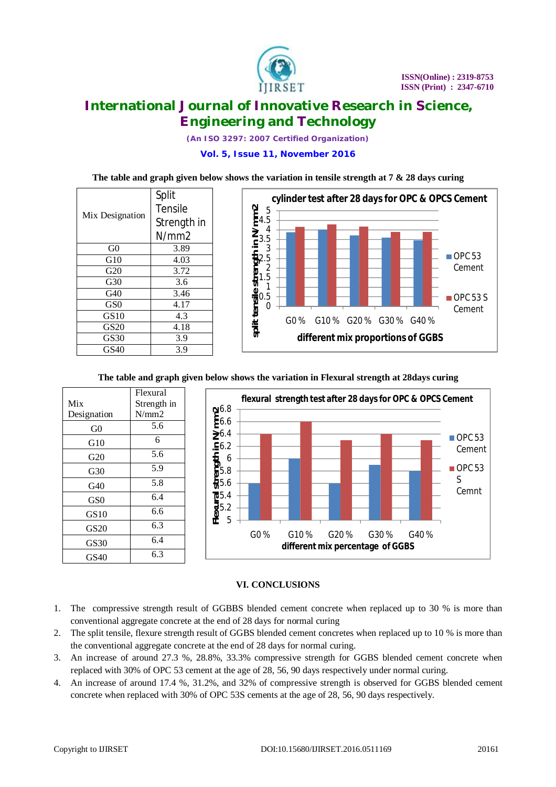

*(An ISO 3297: 2007 Certified Organization)*

**Vol. 5, Issue 11, November 2016**

### **The table and graph given below shows the variation in tensile strength at 7 & 28 days curing**

|                 | Split       |  |
|-----------------|-------------|--|
| Mix Designation | Tensile     |  |
|                 | Strength in |  |
|                 | N/mm2       |  |
| G0              | 3.89        |  |
| G10             | 4.03        |  |
| G20             | 3.72        |  |
| G30             | 3.6         |  |
| G40             | 3.46        |  |
| GS <sub>0</sub> | 4.17        |  |
| GS10            | 4.3         |  |
| <b>GS20</b>     | 4.18        |  |
| GS30            | 3.9         |  |
| GS40            | 3.9         |  |



### **The table and graph given below shows the variation in Flexural strength at 28days curing**



## **VI. CONCLUSIONS**

- 1. The compressive strength result of GGBBS blended cement concrete when replaced up to 30 % is more than conventional aggregate concrete at the end of 28 days for normal curing
- 2. The split tensile, flexure strength result of GGBS blended cement concretes when replaced up to 10 % is more than the conventional aggregate concrete at the end of 28 days for normal curing.
- 3. An increase of around 27.3 %, 28.8%, 33.3% compressive strength for GGBS blended cement concrete when replaced with 30% of OPC 53 cement at the age of 28, 56, 90 days respectively under normal curing.
- 4. An increase of around 17.4 %, 31.2%, and 32% of compressive strength is observed for GGBS blended cement concrete when replaced with 30% of OPC 53S cements at the age of 28, 56, 90 days respectively.